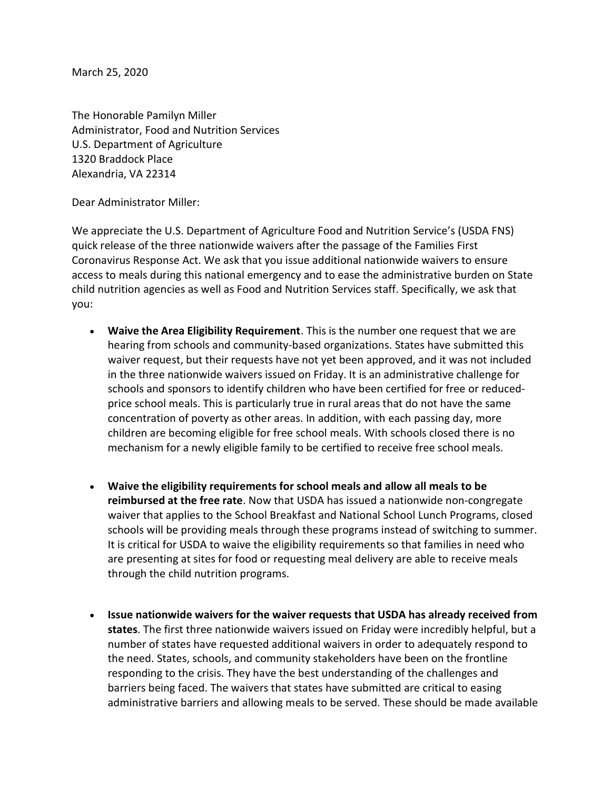March 25, 2020

The Honorable Pamilyn Miller Administrator, Food and Nutrition Services U.S. Department of Agriculture 1320 Braddock Place Alexandria, VA 22314

Dear Administrator Miller:

We appreciate the U.S. Department of Agriculture Food and Nutrition Service's (USDA FNS) quick release of the three nationwide waivers after the passage of the Families First Coronavirus Response Act. We ask that you issue additional nationwide waivers to ensure access to meals during this national emergency and to ease the administrative burden on State child nutrition agencies as well as Food and Nutrition Services staff. Specifically, we ask that you:

- Waive the Area Eligibility Requirement. This is the number one request that we are hearing from schools and community-based organizations. States have submitted this waiver request, but their requests have not yet been approved, and it was not included in the three nationwide waivers issued on Friday. It is an administrative challenge for schools and sponsors to identify children who have been certified for free or reducedprice school meals. This is particularly true in rural areas that do not have the same concentration of poverty as other areas. In addition, with each passing day, more children are becoming eligible for free school meals. With schools closed there is no mechanism for a newly eligible family to be certified to receive free school meals.
- Waive the eligibility requirements for school meals and allow all meals to be reimbursed at the free rate. Now that USDA has issued a nationwide non-congregate waiver that applies to the School Breakfast and National School Lunch Programs, closed schools will be providing meals through these programs instead of switching to summer. It is critical for USDA to waive the eligibility requirements so that families in need who are presenting at sites for food or requesting meal delivery are able to receive meals through the child nutrition programs.
- Issue nationwide waivers for the waiver requests that USDA has already received from states. The first three nationwide waivers issued on Friday were incredibly helpful, but a number of states have requested additional waivers in order to adequately respond to the need. States, schools, and community stakeholders have been on the frontline responding to the crisis. They have the best understanding of the challenges and barriers being faced. The waivers that states have submitted are critical to easing administrative barriers and allowing meals to be served. These should be made available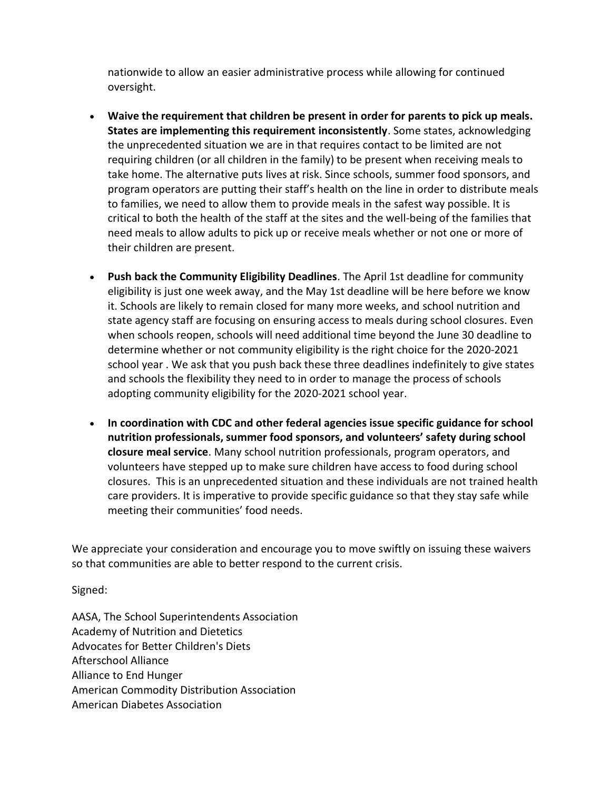nationwide to allow an easier administrative process while allowing for continued oversight.

- Waive the requirement that children be present in order for parents to pick up meals. States are implementing this requirement inconsistently. Some states, acknowledging the unprecedented situation we are in that requires contact to be limited are not requiring children (or all children in the family) to be present when receiving meals to take home. The alternative puts lives at risk. Since schools, summer food sponsors, and program operators are putting their staff's health on the line in order to distribute meals to families, we need to allow them to provide meals in the safest way possible. It is critical to both the health of the staff at the sites and the well-being of the families that need meals to allow adults to pick up or receive meals whether or not one or more of their children are present.
- Push back the Community Eligibility Deadlines. The April 1st deadline for community eligibility is just one week away, and the May 1st deadline will be here before we know it. Schools are likely to remain closed for many more weeks, and school nutrition and state agency staff are focusing on ensuring access to meals during school closures. Even when schools reopen, schools will need additional time beyond the June 30 deadline to determine whether or not community eligibility is the right choice for the 2020-2021 school year . We ask that you push back these three deadlines indefinitely to give states and schools the flexibility they need to in order to manage the process of schools adopting community eligibility for the 2020-2021 school year.
- In coordination with CDC and other federal agencies issue specific guidance for school nutrition professionals, summer food sponsors, and volunteers' safety during school closure meal service. Many school nutrition professionals, program operators, and volunteers have stepped up to make sure children have access to food during school closures. This is an unprecedented situation and these individuals are not trained health care providers. It is imperative to provide specific guidance so that they stay safe while meeting their communities' food needs.

We appreciate your consideration and encourage you to move swiftly on issuing these waivers so that communities are able to better respond to the current crisis.

Signed:

AASA, The School Superintendents Association Academy of Nutrition and Dietetics Advocates for Better Children's Diets Afterschool Alliance Alliance to End Hunger American Commodity Distribution Association American Diabetes Association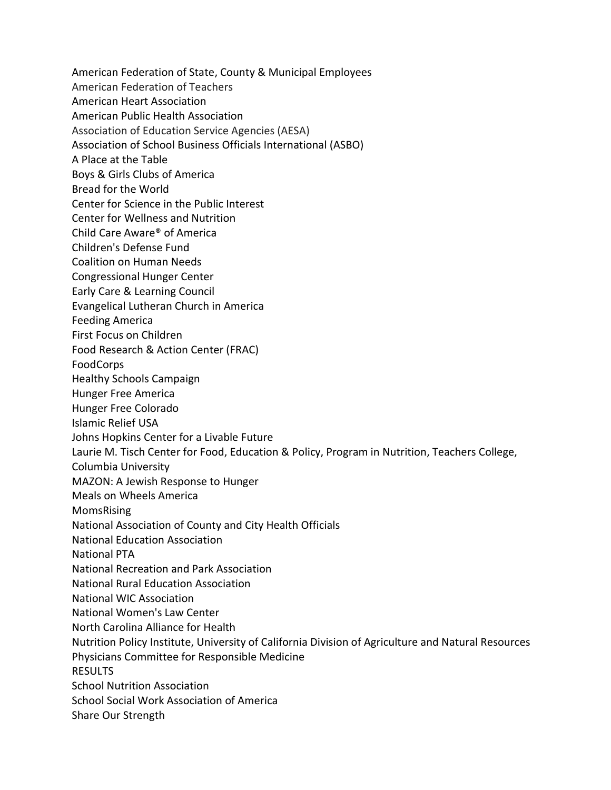American Federation of State, County & Municipal Employees

American Federation of Teachers

American Heart Association

American Public Health Association

Association of Education Service Agencies (AESA)

Association of School Business Officials International (ASBO)

A Place at the Table

Boys & Girls Clubs of America

Bread for the World

Center for Science in the Public Interest

Center for Wellness and Nutrition

Child Care Aware® of America

Children's Defense Fund

Coalition on Human Needs

Congressional Hunger Center

Early Care & Learning Council

Evangelical Lutheran Church in America

Feeding America

First Focus on Children

Food Research & Action Center (FRAC)

FoodCorps

Healthy Schools Campaign

Hunger Free America

Hunger Free Colorado

Islamic Relief USA

Johns Hopkins Center for a Livable Future

Laurie M. Tisch Center for Food, Education & Policy, Program in Nutrition, Teachers College,

Columbia University

MAZON: A Jewish Response to Hunger

Meals on Wheels America

MomsRising

National Association of County and City Health Officials

National Education Association

National PTA

National Recreation and Park Association

National Rural Education Association

National WIC Association

National Women's Law Center

North Carolina Alliance for Health

Nutrition Policy Institute, University of California Division of Agriculture and Natural Resources

Physicians Committee for Responsible Medicine

RESULTS

School Nutrition Association

School Social Work Association of America

Share Our Strength